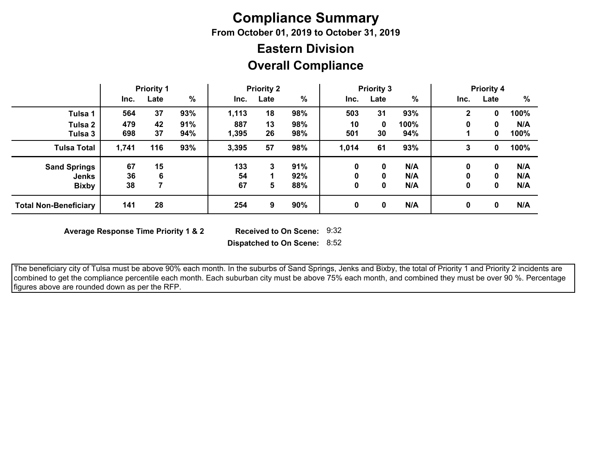# **Compliance Summary**

**From October 01, 2019 to October 31, 2019**

## **Overall Compliance Eastern Division**

|                              | <b>Priority 1</b> |      |               | <b>Priority 2</b> |      | <b>Priority 3</b> |          |      |               | <b>Priority 4</b> |      |      |
|------------------------------|-------------------|------|---------------|-------------------|------|-------------------|----------|------|---------------|-------------------|------|------|
|                              | Inc.              | Late | $\frac{0}{0}$ | Inc.              | Late | $\%$              | Inc.     | Late | $\frac{0}{0}$ | Inc.              | Late | %    |
| Tulsa 1                      | 564               | 37   | 93%           | 1,113             | 18   | 98%               | 503      | 31   | 93%           | $\mathbf{2}$      | 0    | 100% |
| Tulsa 2                      | 479               | 42   | 91%           | 887               | 13   | 98%               | 10       | 0    | 100%          | 0                 | 0    | N/A  |
| Tulsa 3                      | 698               | 37   | 94%           | 1,395             | 26   | 98%               | 501      | 30   | 94%           |                   | 0    | 100% |
| <b>Tulsa Total</b>           | 1,741             | 116  | 93%           | 3,395             | 57   | 98%               | 1,014    | 61   | 93%           | 3                 | 0    | 100% |
| <b>Sand Springs</b>          | 67                | 15   |               | 133               | 3    | 91%               | $\bf{0}$ | 0    | N/A           | 0                 | 0    | N/A  |
| <b>Jenks</b>                 | 36                | 6    |               | 54                |      | 92%               |          | 0    | N/A           |                   | 0    | N/A  |
| <b>Bixby</b>                 | 38                |      |               | 67                | 5    | 88%               | 0        | 0    | N/A           | 0                 | 0    | N/A  |
| <b>Total Non-Beneficiary</b> | 141               | 28   |               | 254               | 9    | 90%               | 0        | 0    | N/A           | 0                 | 0    | N/A  |

**Average Response Time Priority 1 & 2** 

Received to On Scene: 9:32

**Dispatched to On Scene:** 8:52

 The beneficiary city of Tulsa must be above 90% each month. In the suburbs of Sand Springs, Jenks and Bixby, the total of Priority 1 and Priority 2 incidents are combined to get the compliance percentile each month. Each suburban city must be above 75% each month, and combined they must be over 90 %. Percentage figures above are rounded down as per the RFP.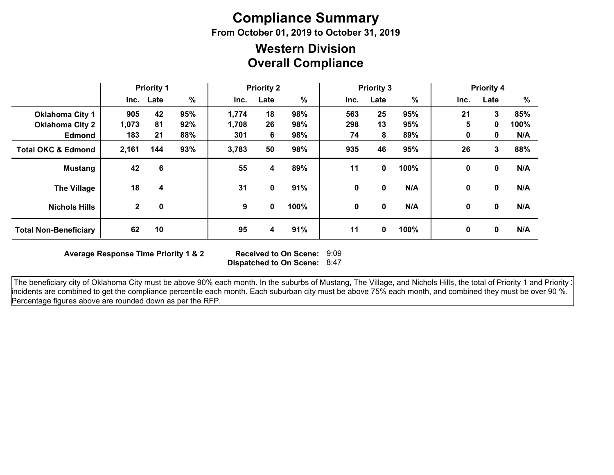# **Compliance Summary**

**From October 01, 2019 to October 31, 2019**

### **Overall Compliance Western Division**

|                               | <b>Priority 1</b> |           | <b>Priority 2</b> |       | <b>Priority 3</b> |      |      | <b>Priority 4</b> |      |      |             |      |
|-------------------------------|-------------------|-----------|-------------------|-------|-------------------|------|------|-------------------|------|------|-------------|------|
|                               |                   | Inc. Late | $\%$              | Inc.  | Late              | %    | Inc. | Late              | $\%$ | Inc. | Late        | %    |
| <b>Oklahoma City 1</b>        | 905               | 42        | 95%               | 1,774 | 18                | 98%  | 563  | 25                | 95%  | 21   | 3           | 85%  |
| <b>Oklahoma City 2</b>        | 1,073             | 81        | 92%               | 1,708 | 26                | 98%  | 298  | 13                | 95%  | 5    | 0           | 100% |
| <b>Edmond</b>                 | 183               | 21        | 88%               | 301   | 6                 | 98%  | 74   | 8                 | 89%  | 0    | 0           | N/A  |
| <b>Total OKC &amp; Edmond</b> | 2,161             | 144       | 93%               | 3,783 | 50                | 98%  | 935  | 46                | 95%  | 26   | 3           | 88%  |
| <b>Mustang</b>                | 42                | 6         |                   | 55    | 4                 | 89%  | 11   | 0                 | 100% | 0    | 0           | N/A  |
| <b>The Village</b>            | 18                | 4         |                   | 31    | 0                 | 91%  | 0    | 0                 | N/A  | 0    | 0           | N/A  |
| <b>Nichols Hills</b>          | $\mathbf{2}$      | 0         |                   | 9     | 0                 | 100% | 0    | 0                 | N/A  | 0    | $\mathbf 0$ | N/A  |
| <b>Total Non-Beneficiary</b>  | 62                | 10        |                   | 95    | 4                 | 91%  | 11   | 0                 | 100% | 0    | 0           | N/A  |

**Average Response Time Priority 1 & 2** 

**Dispatched to On Scene:** 8:47 Received to On Scene: 9:09

The beneficiary city of Oklahoma City must be above 90% each month. In the suburbs of Mustang, The Village, and Nichols Hills, the total of Priority 1 and Priority 2 incidents are combined to get the compliance percentile each month. Each suburban city must be above 75% each month, and combined they must be over 90 %. Percentage figures above are rounded down as per the RFP.